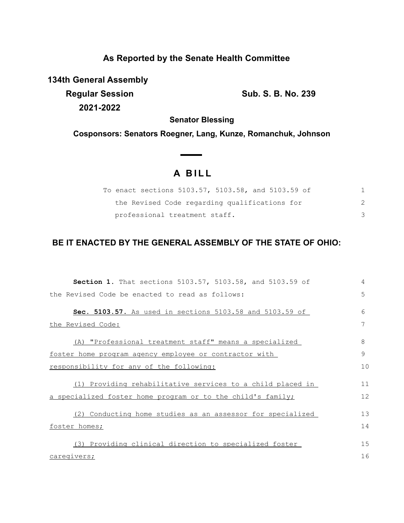## **As Reported by the Senate Health Committee**

**134th General Assembly**

**Regular Session Sub. S. B. No. 239 2021-2022**

**Senator Blessing**

**Cosponsors: Senators Roegner, Lang, Kunze, Romanchuk, Johnson**

## **A B I L L**

**Contract Contract Contract** 

| To enact sections 5103.57, 5103.58, and 5103.59 of |  |  |
|----------------------------------------------------|--|--|
| the Revised Code regarding qualifications for      |  |  |
| professional treatment staff.                      |  |  |

## **BE IT ENACTED BY THE GENERAL ASSEMBLY OF THE STATE OF OHIO:**

| Section 1. That sections 5103.57, 5103.58, and 5103.59 of   | 4  |
|-------------------------------------------------------------|----|
| the Revised Code be enacted to read as follows:             | 5  |
| Sec. 5103.57. As used in sections 5103.58 and 5103.59 of    | 6  |
| the Revised Code:                                           | 7  |
| (A) "Professional treatment staff" means a specialized      | 8  |
| foster home program agency employee or contractor with      | 9  |
| responsibility for any of the following:                    | 10 |
| (1) Providing rehabilitative services to a child placed in  | 11 |
| a specialized foster home program or to the child's family; | 12 |
| (2) Conducting home studies as an assessor for specialized  | 13 |
| foster homes;                                               | 14 |
| (3) Providing clinical direction to specialized foster      | 15 |
| caregivers;                                                 | 16 |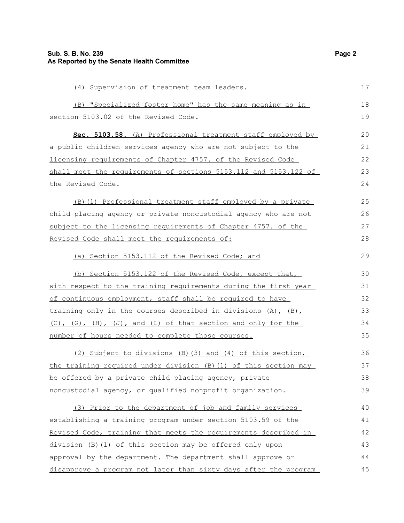| (4) Supervision of treatment team leaders.                          |    |  |
|---------------------------------------------------------------------|----|--|
| (B) "Specialized foster home" has the same meaning as in            | 18 |  |
| section 5103.02 of the Revised Code.                                | 19 |  |
| Sec. 5103.58. (A) Professional treatment staff employed by          | 20 |  |
| a public children services agency who are not subject to the        | 21 |  |
| licensing requirements of Chapter 4757. of the Revised Code         | 22 |  |
| shall meet the requirements of sections 5153.112 and 5153.122 of    | 23 |  |
| the Revised Code.                                                   | 24 |  |
| (B) (1) Professional treatment staff employed by a private          | 25 |  |
| child placing agency or private noncustodial agency who are not     | 26 |  |
| subject to the licensing requirements of Chapter 4757. of the       | 27 |  |
| Revised Code shall meet the requirements of:                        | 28 |  |
| (a) Section 5153.112 of the Revised Code; and                       | 29 |  |
| (b) Section 5153.122 of the Revised Code, except that,              | 30 |  |
| with respect to the training requirements during the first year     | 31 |  |
| of continuous employment, staff shall be required to have           | 32 |  |
| training only in the courses described in divisions $(A)$ , $(B)$ , | 33 |  |
| (C), (G), (H), (J), and (L) of that section and only for the        | 34 |  |
| number of hours needed to complete those courses.                   | 35 |  |
| (2) Subject to divisions (B) (3) and (4) of this section,           | 36 |  |
| the training required under division (B) (1) of this section may    | 37 |  |
| be offered by a private child placing agency, private               | 38 |  |
| noncustodial agency, or qualified nonprofit organization.           | 39 |  |
| (3) Prior to the department of job and family services              | 40 |  |
| establishing a training program under section 5103.59 of the        | 41 |  |
| Revised Code, training that meets the requirements described in     | 42 |  |
| division (B) (1) of this section may be offered only upon           | 43 |  |
| approval by the department. The department shall approve or         | 44 |  |
| disapprove a program not later than sixty days after the program    | 45 |  |